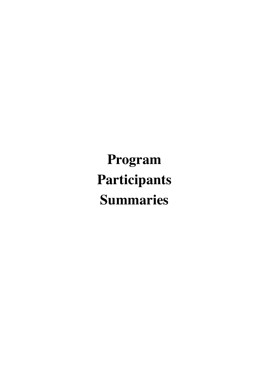**Program Participants Summaries**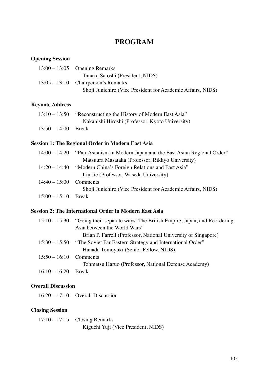# **PROGRAM**

### **Opening Session**

| $13:00 - 13:05$ Opening Remarks                             |
|-------------------------------------------------------------|
| Tanaka Satoshi (President, NIDS)                            |
| $13:05 - 13:10$ Chairperson's Remarks                       |
| Shoji Junichiro (Vice President for Academic Affairs, NIDS) |

# **Keynote Address**

| 13:10 – 13:50         | "Reconstructing the History of Modern East Asia" |
|-----------------------|--------------------------------------------------|
|                       | Nakanishi Hiroshi (Professor, Kyoto University)  |
| $13:50 - 14:00$ Break |                                                  |

### **Session 1: The Regional Order in Modern East Asia**

|                          | 14:00 – 14:20  "Pan-Asianism in Modern Japan and the East Asian Regional Order" |
|--------------------------|---------------------------------------------------------------------------------|
|                          | Matsuura Masataka (Professor, Rikkyo University)                                |
|                          | 14:20 – 14:40 "Modern China's Foreign Relations and East Asia"                  |
|                          | Liu Jie (Professor, Waseda University)                                          |
| $14:40 - 15:00$ Comments |                                                                                 |
|                          | Shoji Junichiro (Vice President for Academic Affairs, NIDS)                     |
| $15:00 - 15:10$ Break    |                                                                                 |

### **Session 2: The International Order in Modern East Asia**

|                 | 15:10 – 15:30 "Going their separate ways: The British Empire, Japan, and Reordering |
|-----------------|-------------------------------------------------------------------------------------|
|                 | Asia between the World Wars"                                                        |
|                 | Brian P. Farrell (Professor, National University of Singapore)                      |
|                 | 15:30 – 15:50 "The Soviet Far Eastern Strategy and International Order"             |
|                 | Hanada Tomoyuki (Senior Fellow, NIDS)                                               |
| $15:50 - 16:10$ | Comments                                                                            |
|                 | Tohmatsu Haruo (Professor, National Defense Academy)                                |
| $16:10 - 16:20$ | Break                                                                               |

# **Overall Discussion**

16:20 – 17:10 Overall Discussion

# **Closing Session**

| $17:10 - 17:15$ Closing Remarks     |
|-------------------------------------|
| Kiguchi Yuji (Vice President, NIDS) |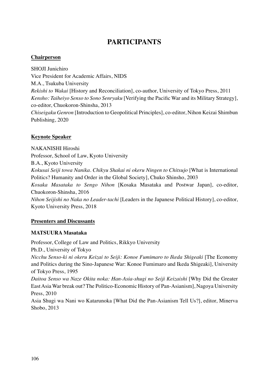# **PARTICIPANTS**

#### **Chairperson**

SHOJI Junichiro Vice President for Academic Affairs, NIDS M.A., Tsukuba University *Rekishi to Wakai* [History and Reconciliation], co-author, University of Tokyo Press, 2011 *Kensho: Taiheiyo Senso to Sono Senryaku* [Verifying the Pacific War and its Military Strategy], co-editor, Chuokoron-Shinsha, 2013 *Chiseigaku Genron* [Introduction to Geopolitical Principles], co-editor, Nihon Keizai Shimbun Publishing, 2020

### **Keynote Speaker**

NAKANISHI Hiroshi Professor, School of Law, Kyoto University B.A., Kyoto University *Kokusai Seiji towa Nanika. Chikyu Shakai ni okeru Ningen to Chitsujo* [What is International Politics? Humanity and Order in the Global Society], Chuko Shinsho, 2003 *Kosaka Masataka to Sengo Nihon* [Kosaka Masataka and Postwar Japan], co-editor, Chuokoron-Shinsha, 2016 *Nihon Seijishi no Naka no Leader-tachi* [Leaders in the Japanese Political History], co-editor, Kyoto University Press, 2018

### **Presenters and Discussants**

### **MATSUURA Masataka**

Professor, College of Law and Politics, Rikkyo University Ph.D., University of Tokyo *Nicchu Senso-ki ni okeru Keizai to Seiji: Konoe Fumimaro to Ikeda Shigeaki* [The Economy and Politics during the Sino-Japanese War: Konoe Fumimaro and Ikeda Shigeaki], University of Tokyo Press, 1995 *Daitoa Senso wa Naze Okita noka: Han-Asia-shugi no Seiji Keizaishi* [Why Did the Greater East Asia War break out? The Politico-Economic History of Pan-Asianism], Nagoya University Press, 2010

Asia Shugi wa Nani wo Katarunoka [What Did the Pan-Asianism Tell Us?], editor, Minerva Shobo, 2013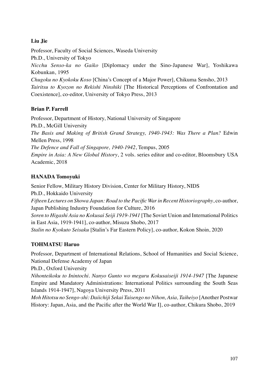# **Liu Jie**

Professor, Faculty of Social Sciences, Waseda University Ph.D., University of Tokyo *Nicchu Senso-ka no Gaiko* [Diplomacy under the Sino-Japanese War], Yoshikawa Kobunkan, 1995 *Chugoku no Kyokoku Koso* [China's Concept of a Major Power], Chikuma Sensho, 2013 *Tairitsu to Kyozon no Rekishi Ninshiki* [The Historical Perceptions of Confrontation and Coexistence], co-editor, University of Tokyo Press, 2013

# **Brian P. Farrell**

Professor, Department of History, National University of Singapore Ph.D., McGill University *The Basis and Making of British Grand Strategy, 1940-1943: Was There a Plan?* Edwin Mellen Press, 1998 *The Defence and Fall of Singapore, 1940-1942*, Tempus, 2005 *Empire in Asia: A New Global History*, 2 vols. series editor and co-editor, Bloomsbury USA Academic, 2018

# **HANADA Tomoyuki**

Senior Fellow, Military History Division, Center for Military History, NIDS Ph.D., Hokkaido University *Fifteen Lectures on Showa Japan: Road to the Pacific War in Recent Historiography*, co-author, Japan Publishing Industry Foundation for Culture, 2016 *Soren to Higashi Asia no Kokusai Seiji 1919-1941* [The Soviet Union and International Politics in East Asia, 1919-1941], co-author, Misuzu Shobo, 2017 *Stalin no Kyokuto Seisaku* [Stalin's Far Eastern Policy], co-author, Kokon Shoin, 2020

# **TOHMATSU Haruo**

Professor, Department of International Relations, School of Humanities and Social Science, National Defense Academy of Japan

Ph.D., Oxford University

*Nihonteikoku to Inintochi. Nanyo Gunto wo meguru Kokusaiseiji 1914-1947* [The Japanese Empire and Mandatory Administrations: International Politics surrounding the South Seas Islands 1914-1947], Nagoya University Press, 2011

*Moh Hitotsu no Sengo-shi: Daiichiji Sekai Taisengo no Nihon, Asia, Taiheiyo* [Another Postwar History: Japan, Asia, and the Pacific after the World War I], co-author, Chikura Shobo, 2019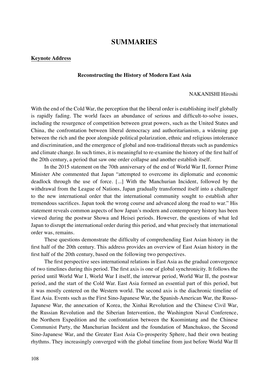### **SUMMARIES**

#### **Keynote Address**

#### **Reconstructing the History of Modern East Asia**

#### NAKANISHI Hiroshi

With the end of the Cold War, the perception that the liberal order is establishing itself globally is rapidly fading. The world faces an abundance of serious and difficult-to-solve issues, including the resurgence of competition between great powers, such as the United States and China, the confrontation between liberal democracy and authoritarianism, a widening gap between the rich and the poor alongside political polarization, ethnic and religious intolerance and discrimination, and the emergence of global and non-traditional threats such as pandemics and climate change. In such times, it is meaningful to re-examine the history of the first half of the 20th century, a period that saw one order collapse and another establish itself.

In the 2015 statement on the 70th anniversary of the end of World War II, former Prime Minister Abe commented that Japan "attempted to overcome its diplomatic and economic deadlock through the use of force. [...] With the Manchurian Incident, followed by the withdrawal from the League of Nations, Japan gradually transformed itself into a challenger to the new international order that the international community sought to establish after tremendous sacrifices. Japan took the wrong course and advanced along the road to war." His statement reveals common aspects of how Japan's modern and contemporary history has been viewed during the postwar Showa and Heisei periods. However, the questions of what led Japan to disrupt the international order during this period, and what precisely that international order was, remains.

These questions demonstrate the difficulty of comprehending East Asian history in the first half of the 20th century. This address provides an overview of East Asian history in the first half of the 20th century, based on the following two perspectives.

The first perspective sees international relations in East Asia as the gradual convergence of two timelines during this period. The first axis is one of global synchronicity. It follows the period until World War I, World War I itself, the interwar period, World War II, the postwar period, and the start of the Cold War. East Asia formed an essential part of this period, but it was mostly centered on the Western world. The second axis is the diachronic timeline of East Asia. Events such as the First Sino-Japanese War, the Spanish-American War, the Russo-Japanese War, the annexation of Korea, the Xinhai Revolution and the Chinese Civil War, the Russian Revolution and the Siberian Intervention, the Washington Naval Conference, the Northern Expedition and the confrontation between the Kuomintang and the Chinese Communist Party, the Manchurian Incident and the foundation of Manchukuo, the Second Sino-Japanese War, and the Greater East Asia Co-prosperity Sphere, had their own beating rhythms. They increasingly converged with the global timeline from just before World War II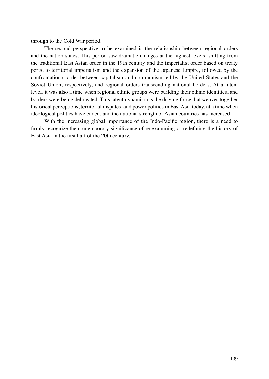through to the Cold War period.

The second perspective to be examined is the relationship between regional orders and the nation states. This period saw dramatic changes at the highest levels, shifting from the traditional East Asian order in the 19th century and the imperialist order based on treaty ports, to territorial imperialism and the expansion of the Japanese Empire, followed by the confrontational order between capitalism and communism led by the United States and the Soviet Union, respectively, and regional orders transcending national borders. At a latent level, it was also a time when regional ethnic groups were building their ethnic identities, and borders were being delineated. This latent dynamism is the driving force that weaves together historical perceptions, territorial disputes, and power politics in East Asia today, at a time when ideological politics have ended, and the national strength of Asian countries has increased.

With the increasing global importance of the Indo-Pacific region, there is a need to firmly recognize the contemporary significance of re-examining or redefining the history of East Asia in the first half of the 20th century.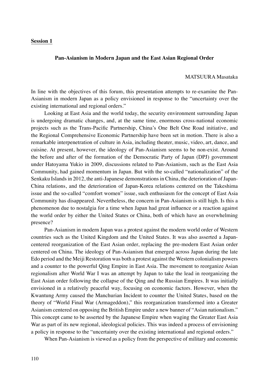#### **Pan-Asianism in Modern Japan and the East Asian Regional Order**

#### MATSUURA Masataka

In line with the objectives of this forum, this presentation attempts to re-examine the Pan-Asianism in modern Japan as a policy envisioned in response to the "uncertainty over the existing international and regional orders."

Looking at East Asia and the world today, the security environment surrounding Japan is undergoing dramatic changes, and, at the same time, enormous cross-national economic projects such as the Trans-Pacific Partnership, China's One Belt One Road initiative, and the Regional Comprehensive Economic Partnership have been set in motion. There is also a remarkable interpenetration of culture in Asia, including theater, music, video, art, dance, and cuisine. At present, however, the ideology of Pan-Asianism seems to be non-exist. Around the before and after of the formation of the Democratic Party of Japan (DPJ) government under Hatoyama Yukio in 2009, discussions related to Pan-Asianism, such as the East Asia Community, had gained momentum in Japan. But with the so-called "nationalization" of the Senkaku Islands in 2012, the anti-Japanese demonstrations in China, the deterioration of Japan-China relations, and the deterioration of Japan-Korea relations centered on the Takeshima issue and the so-called "comfort women" issue, such enthusiasm for the concept of East Asia Community has disappeared. Nevertheless, the concern in Pan-Asianism is still high. Is this a phenomenon due to nostalgia for a time when Japan had great influence or a reaction against the world order by either the United States or China, both of which have an overwhelming presence?

Pan-Asianism in modern Japan was a protest against the modern world order of Western countries such as the United Kingdom and the United States. It was also asserted a Japancentered reorganization of the East Asian order, replacing the pre-modern East Asian order centered on China. The ideology of Pan-Asianism that emerged across Japan during the late Edo period and the Meiji Restoration was both a protest against the Western colonialism powers and a counter to the powerful Qing Empire in East Asia. The movement to reorganize Asian regionalism after World War I was an attempt by Japan to take the lead in reorganizing the East Asian order following the collapse of the Qing and the Russian Empires. It was initially envisioned in a relatively peaceful way, focusing on economic factors. However, when the Kwantung Army caused the Manchurian Incident to counter the United States, based on the theory of "World Final War (Armageddon)," this reorganization transformed into a Greater Asianism centered on opposing the British Empire under a new banner of "Asian nationalism." This concept came to be asserted by the Japanese Empire when waging the Greater East Asia War as part of its new regional, ideological policies. This was indeed a process of envisioning a policy in response to the "uncertainty over the existing international and regional orders."

When Pan-Asianism is viewed as a policy from the perspective of military and economic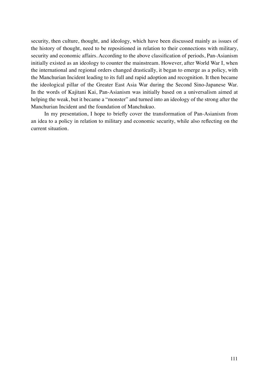security, then culture, thought, and ideology, which have been discussed mainly as issues of the history of thought, need to be repositioned in relation to their connections with military, security and economic affairs. According to the above classification of periods, Pan-Asianism initially existed as an ideology to counter the mainstream. However, after World War I, when the international and regional orders changed drastically, it began to emerge as a policy, with the Manchurian Incident leading to its full and rapid adoption and recognition. It then became the ideological pillar of the Greater East Asia War during the Second Sino-Japanese War. In the words of Kajitani Kai, Pan-Asianism was initially based on a universalism aimed at helping the weak, but it became a "monster" and turned into an ideology of the strong after the Manchurian Incident and the foundation of Manchukuo.

In my presentation, I hope to briefly cover the transformation of Pan-Asianism from an idea to a policy in relation to military and economic security, while also reflecting on the current situation.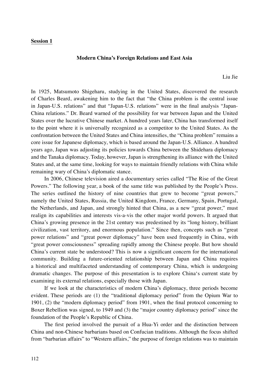#### **Modern China's Foreign Relations and East Asia**

Liu Jie

In 1925, Matsumoto Shigeharu, studying in the United States, discovered the research of Charles Beard, awakening him to the fact that "the China problem is the central issue in Japan-U.S. relations" and that "Japan-U.S. relations" were in the final analysis "Japan-China relations." Dr. Beard warned of the possibility for war between Japan and the United States over the lucrative Chinese market. A hundred years later, China has transformed itself to the point where it is universally recognized as a competitor to the United States. As the confrontation between the United States and China intensifies, the "China problem" remains a core issue for Japanese diplomacy, which is based around the Japan-U.S. Alliance. A hundred years ago, Japan was adjusting its policies towards China between the Shidehara diplomacy and the Tanaka diplomacy. Today, however, Japan is strengthening its alliance with the United States and, at the same time, looking for ways to maintain friendly relations with China while remaining wary of China's diplomatic stance.

In 2006, Chinese television aired a documentary series called "The Rise of the Great Powers." The following year, a book of the same title was published by the People's Press. The series outlined the history of nine countries that grew to become "great powers," namely the United States, Russia, the United Kingdom, France, Germany, Spain, Portugal, the Netherlands, and Japan, and strongly hinted that China, as a new "great power," must realign its capabilities and interests vis-a-vis the other major world powers. It argued that China's growing presence in the 21st century was predestined by its "long history, brilliant civilization, vast territory, and enormous population." Since then, concepts such as "great power relations" and "great power diplomacy" have been used frequently in China, with "great power consciousness" spreading rapidly among the Chinese people. But how should China's current state be understood? This is now a significant concern for the international community. Building a future-oriented relationship between Japan and China requires a historical and multifaceted understanding of contemporary China, which is undergoing dramatic changes. The purpose of this presentation is to explore China's current state by examining its external relations, especially those with Japan.

If we look at the characteristics of modern China's diplomacy, three periods become evident. These periods are (1) the "traditional diplomacy period" from the Opium War to 1901, (2) the "modern diplomacy period" from 1901, when the final protocol concerning to Boxer Rebellion was signed, to 1949 and (3) the "major country diplomacy period" since the foundation of the People's Republic of China.

The first period involved the pursuit of a Hua-Yi order and the distinction between China and non-Chinese barbarians based on Confucian traditions. Although the focus shifted from "barbarian affairs" to "Western affairs," the purpose of foreign relations was to maintain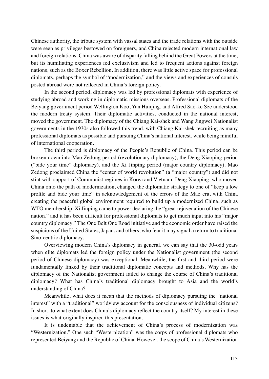Chinese authority, the tribute system with vassal states and the trade relations with the outside were seen as privileges bestowed on foreigners, and China rejected modern international law and foreign relations. China was aware of disparity falling behind the Great Powers at the time, but its humiliating experiences fed exclusivism and led to frequent actions against foreign nations, such as the Boxer Rebellion. In addition, there was little active space for professional diplomats, perhaps the symbol of "modernization," and the views and experiences of consuls posted abroad were not reflected in China's foreign policy.

In the second period, diplomacy was led by professional diplomats with experience of studying abroad and working in diplomatic missions overseas. Professional diplomats of the Beiyang government period Wellington Koo, Yan Huiqing, and Alfred Sao-ke Sze understood the modern treaty system. Their diplomatic activities, conducted in the national interest, moved the government. The diplomacy of the Chiang Kai-shek and Wang Jingwei Nationalist governments in the 1930s also followed this trend, with Chiang Kai-shek recruiting as many professional diplomats as possible and pursuing China's national interest, while being mindful of international cooperation.

The third period is diplomacy of the People's Republic of China. This period can be broken down into Mao Zedong period (revolutionary diplomacy), the Deng Xiaoping period ("bide your time" diplomacy), and the Xi Jinping period (major country diplomacy). Mao Zedong proclaimed China the "center of world revolution" (a "major country") and did not stint with support of Communist regimes in Korea and Vietnam. Deng Xiaoping, who moved China onto the path of modernization, changed the diplomatic strategy to one of "keep a low profile and bide your time" in acknowledgement of the errors of the Mao era, with China creating the peaceful global environment required to build up a modernized China, such as WTO membership. Xi Jinping came to power declaring the "great rejuvenation of the Chinese nation," and it has been difficult for professional diplomats to get much input into his "major country diplomacy." The One Belt One Road initiative and the economic order have raised the suspicions of the United States, Japan, and others, who fear it may signal a return to traditional Sino-centric diplomacy.

Overviewing modern China's diplomacy in general, we can say that the 30-odd years when elite diplomats led the foreign policy under the Nationalist government (the second period of Chinese diplomacy) was exceptional. Meanwhile, the first and third period were fundamentally linked by their traditional diplomatic concepts and methods. Why has the diplomacy of the Nationalist government failed to change the course of China's traditional diplomacy? What has China's traditional diplomacy brought to Asia and the world's understanding of China?

Meanwhile, what does it mean that the methods of diplomacy pursuing the "national interest" with a "traditional" worldview account for the consciousness of individual citizens? In short, to what extent does China's diplomacy reflect the country itself? My interest in these issues is what originally inspired this presentation.

It is undeniable that the achievement of China's process of modernization was "Westernization." One such "Westernization" was the corps of professional diplomats who represented Beiyang and the Republic of China. However, the scope of China's Westernization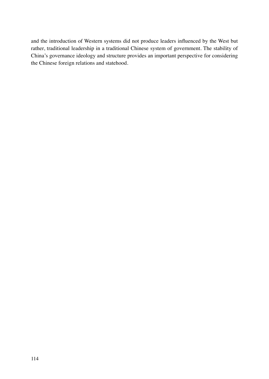and the introduction of Western systems did not produce leaders influenced by the West but rather, traditional leadership in a traditional Chinese system of government. The stability of China's governance ideology and structure provides an important perspective for considering the Chinese foreign relations and statehood.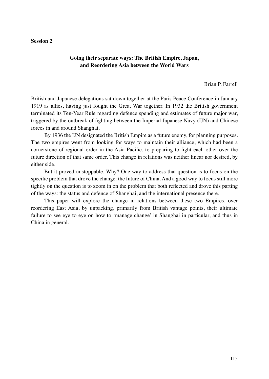#### **Going their separate ways: The British Empire, Japan, and Reordering Asia between the World Wars**

Brian P. Farrell

British and Japanese delegations sat down together at the Paris Peace Conference in January 1919 as allies, having just fought the Great War together. In 1932 the British government terminated its Ten-Year Rule regarding defence spending and estimates of future major war, triggered by the outbreak of fighting between the Imperial Japanese Navy (IJN) and Chinese forces in and around Shanghai.

By 1936 the IJN designated the British Empire as a future enemy, for planning purposes. The two empires went from looking for ways to maintain their alliance, which had been a cornerstone of regional order in the Asia Pacific, to preparing to fight each other over the future direction of that same order. This change in relations was neither linear nor desired, by either side.

But it proved unstoppable. Why? One way to address that question is to focus on the specific problem that drove the change: the future of China. And a good way to focus still more tightly on the question is to zoom in on the problem that both reflected and drove this parting of the ways: the status and defence of Shanghai, and the international presence there.

This paper will explore the change in relations between these two Empires, over reordering East Asia, by unpacking, primarily from British vantage points, their ultimate failure to see eye to eye on how to 'manage change' in Shanghai in particular, and thus in China in general.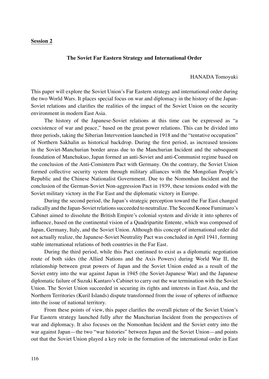#### **The Soviet Far Eastern Strategy and International Order**

#### HANADA Tomoyuki

This paper will explore the Soviet Union's Far Eastern strategy and international order during the two World Wars. It places special focus on war and diplomacy in the history of the Japan-Soviet relations and clarifies the realities of the impact of the Soviet Union on the security environment in modern East Asia.

The history of the Japanese-Soviet relations at this time can be expressed as "a coexistence of war and peace," based on the great power relations. This can be divided into three periods, taking the Siberian Intervention launched in 1918 and the "tentative occupation" of Northern Sakhalin as historical backdrop. During the first period, as increased tensions in the Soviet-Manchurian border areas due to the Manchurian Incident and the subsequent foundation of Manchukuo, Japan formed an anti-Soviet and anti-Communist regime based on the conclusion of the Anti-Comintern Pact with Germany. On the contrary, the Soviet Union formed collective security system through military alliances with the Mongolian People's Republic and the Chinese Nationalist Government. Due to the Nomonhan Incident and the conclusion of the German-Soviet Non-aggression Pact in 1939, these tensions ended with the Soviet military victory in the Far East and the diplomatic victory in Europe.

During the second period, the Japan's strategic perception toward the Far East changed radically and the Japan-Soviet relations succeeded to neutralize. The Second Konoe Fumimaro's Cabinet aimed to dissolute the British Empire's colonial system and divide it into spheres of influence, based on the continental vision of a Quadripartite Entente, which was composed of Japan, Germany, Italy, and the Soviet Union. Although this concept of international order did not actually realize, the Japanese-Soviet Neutrality Pact was concluded in April 1941, forming stable international relations of both countries in the Far East.

During the third period, while this Pact continued to exist as a diplomatic negotiation route of both sides (the Allied Nations and the Axis Powers) during World War II, the relationship between great powers of Japan and the Soviet Union ended as a result of the Soviet entry into the war against Japan in 1945 (the Soviet-Japanese War) and the Japanese diplomatic failure of Suzuki Kantaro's Cabinet to carry out the war termination with the Soviet Union. The Soviet Union succeeded in securing its rights and interests in East Asia, and the Northern Territories (Kuril Islands) dispute transformed from the issue of spheres of influence into the issue of national territory.

From these points of view, this paper clarifies the overall picture of the Soviet Union's Far Eastern strategy launched fully after the Manchurian Incident from the perspectives of war and diplomacy. It also focuses on the Nomonhan Incident and the Soviet entry into the war against Japan—the two "war histories" between Japan and the Soviet Union—and points out that the Soviet Union played a key role in the formation of the international order in East